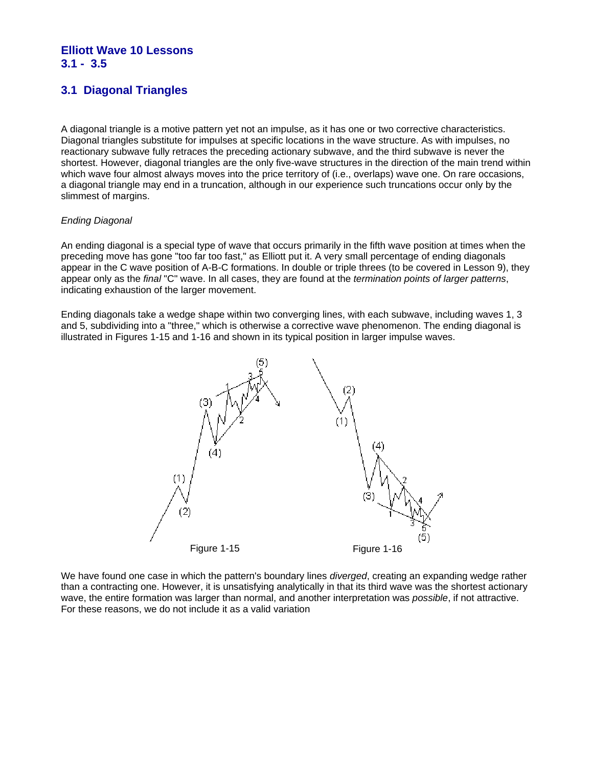### **Elliott Wave 10 Lessons 3.1 - 3.5**

# **3.1 Diagonal Triangles**

A diagonal triangle is a motive pattern yet not an impulse, as it has one or two corrective characteristics. Diagonal triangles substitute for impulses at specific locations in the wave structure. As with impulses, no reactionary subwave fully retraces the preceding actionary subwave, and the third subwave is never the shortest. However, diagonal triangles are the only five-wave structures in the direction of the main trend within which wave four almost always moves into the price territory of (i.e., overlaps) wave one. On rare occasions, a diagonal triangle may end in a truncation, although in our experience such truncations occur only by the slimmest of margins.

#### *Ending Diagonal*

An ending diagonal is a special type of wave that occurs primarily in the fifth wave position at times when the preceding move has gone "too far too fast," as Elliott put it. A very small percentage of ending diagonals appear in the C wave position of A-B-C formations. In double or triple threes (to be covered in Lesson 9), they appear only as the *final* "C" wave. In all cases, they are found at the *termination points of larger patterns*, indicating exhaustion of the larger movement.

Ending diagonals take a wedge shape within two converging lines, with each subwave, including waves 1, 3 and 5, subdividing into a "three," which is otherwise a corrective wave phenomenon. The ending diagonal is illustrated in Figures 1-15 and 1-16 and shown in its typical position in larger impulse waves.



We have found one case in which the pattern's boundary lines *diverged*, creating an expanding wedge rather than a contracting one. However, it is unsatisfying analytically in that its third wave was the shortest actionary wave, the entire formation was larger than normal, and another interpretation was *possible*, if not attractive. For these reasons, we do not include it as a valid variation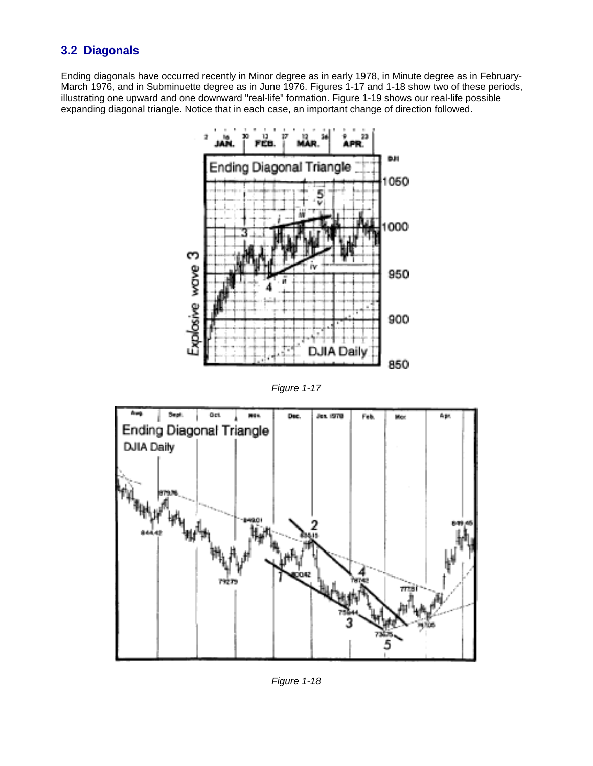# **3.2 Diagonals**

Ending diagonals have occurred recently in Minor degree as in early 1978, in Minute degree as in February-March 1976, and in Subminuette degree as in June 1976. Figures 1-17 and 1-18 show two of these periods, illustrating one upward and one downward "real-life" formation. Figure 1-19 shows our real-life possible expanding diagonal triangle. Notice that in each case, an important change of direction followed.



*Figure 1-17*



*Figure 1-18*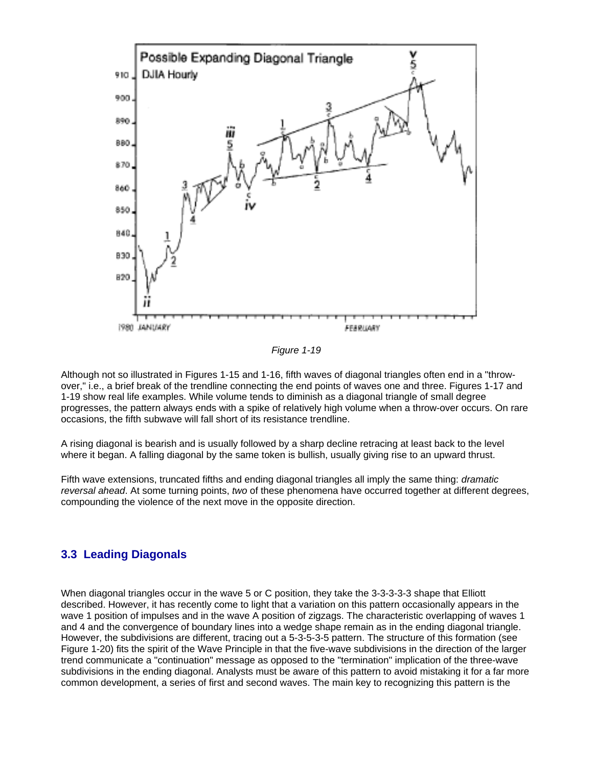

*Figure 1-19*

Although not so illustrated in Figures 1-15 and 1-16, fifth waves of diagonal triangles often end in a "throwover," i.e., a brief break of the trendline connecting the end points of waves one and three. Figures 1-17 and 1-19 show real life examples. While volume tends to diminish as a diagonal triangle of small degree progresses, the pattern always ends with a spike of relatively high volume when a throw-over occurs. On rare occasions, the fifth subwave will fall short of its resistance trendline.

A rising diagonal is bearish and is usually followed by a sharp decline retracing at least back to the level where it began. A falling diagonal by the same token is bullish, usually giving rise to an upward thrust.

Fifth wave extensions, truncated fifths and ending diagonal triangles all imply the same thing: *dramatic reversal ahead*. At some turning points, *two* of these phenomena have occurred together at different degrees, compounding the violence of the next move in the opposite direction.

### **3.3 Leading Diagonals**

When diagonal triangles occur in the wave 5 or C position, they take the 3-3-3-3-3 shape that Elliott described. However, it has recently come to light that a variation on this pattern occasionally appears in the wave 1 position of impulses and in the wave A position of zigzags. The characteristic overlapping of waves 1 and 4 and the convergence of boundary lines into a wedge shape remain as in the ending diagonal triangle. However, the subdivisions are different, tracing out a 5-3-5-3-5 pattern. The structure of this formation (see Figure 1-20) fits the spirit of the Wave Principle in that the five-wave subdivisions in the direction of the larger trend communicate a "continuation" message as opposed to the "termination" implication of the three-wave subdivisions in the ending diagonal. Analysts must be aware of this pattern to avoid mistaking it for a far more common development, a series of first and second waves. The main key to recognizing this pattern is the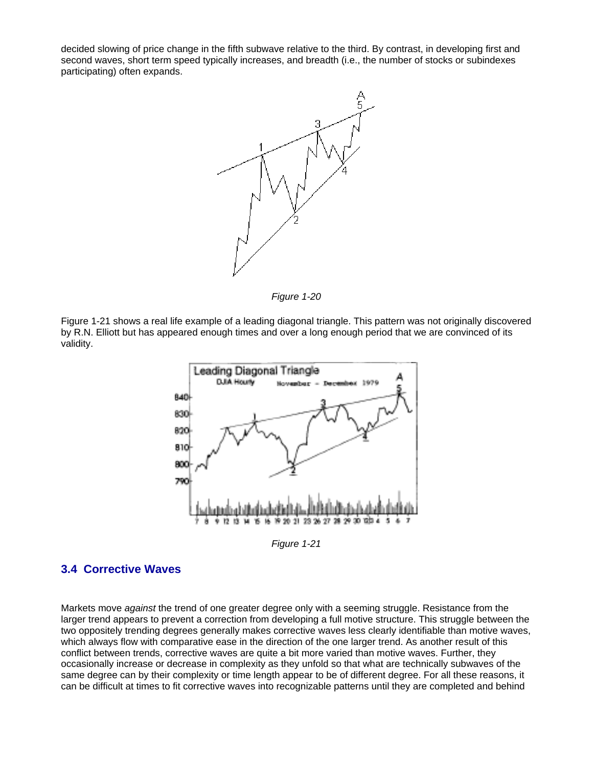decided slowing of price change in the fifth subwave relative to the third. By contrast, in developing first and second waves, short term speed typically increases, and breadth (i.e., the number of stocks or subindexes participating) often expands.



*Figure 1-20*

Figure 1-21 shows a real life example of a leading diagonal triangle. This pattern was not originally discovered by R.N. Elliott but has appeared enough times and over a long enough period that we are convinced of its validity.



*Figure 1-21*

### **3.4 Corrective Waves**

Markets move *against* the trend of one greater degree only with a seeming struggle. Resistance from the larger trend appears to prevent a correction from developing a full motive structure. This struggle between the two oppositely trending degrees generally makes corrective waves less clearly identifiable than motive waves, which always flow with comparative ease in the direction of the one larger trend. As another result of this conflict between trends, corrective waves are quite a bit more varied than motive waves. Further, they occasionally increase or decrease in complexity as they unfold so that what are technically subwaves of the same degree can by their complexity or time length appear to be of different degree. For all these reasons, it can be difficult at times to fit corrective waves into recognizable patterns until they are completed and behind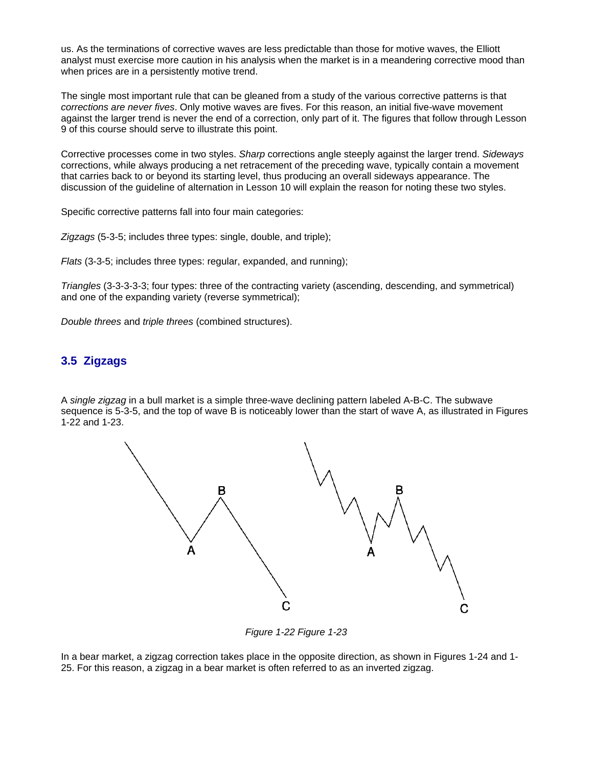us. As the terminations of corrective waves are less predictable than those for motive waves, the Elliott analyst must exercise more caution in his analysis when the market is in a meandering corrective mood than when prices are in a persistently motive trend.

The single most important rule that can be gleaned from a study of the various corrective patterns is that *corrections are never fives*. Only motive waves are fives. For this reason, an initial five-wave movement against the larger trend is never the end of a correction, only part of it. The figures that follow through Lesson 9 of this course should serve to illustrate this point.

Corrective processes come in two styles. *Sharp* corrections angle steeply against the larger trend. *Sideways*  corrections, while always producing a net retracement of the preceding wave, typically contain a movement that carries back to or beyond its starting level, thus producing an overall sideways appearance. The discussion of the guideline of alternation in Lesson 10 will explain the reason for noting these two styles.

Specific corrective patterns fall into four main categories:

*Zigzags* (5-3-5; includes three types: single, double, and triple);

*Flats* (3-3-5; includes three types: regular, expanded, and running);

*Triangles* (3-3-3-3-3; four types: three of the contracting variety (ascending, descending, and symmetrical) and one of the expanding variety (reverse symmetrical);

*Double threes* and *triple threes* (combined structures).

# **3.5 Zigzags**

A *single zigzag* in a bull market is a simple three-wave declining pattern labeled A-B-C. The subwave sequence is 5-3-5, and the top of wave B is noticeably lower than the start of wave A, as illustrated in Figures 1-22 and 1-23.



*Figure 1-22 Figure 1-23*

In a bear market, a zigzag correction takes place in the opposite direction, as shown in Figures 1-24 and 1- 25. For this reason, a zigzag in a bear market is often referred to as an inverted zigzag.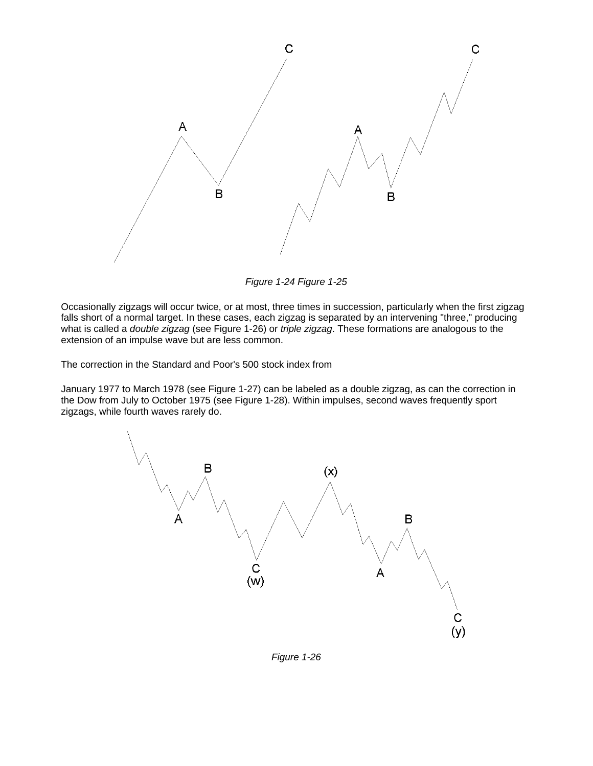

*Figure 1-24 Figure 1-25*

Occasionally zigzags will occur twice, or at most, three times in succession, particularly when the first zigzag falls short of a normal target. In these cases, each zigzag is separated by an intervening "three," producing what is called a *double zigzag* (see Figure 1-26) or *triple zigzag*. These formations are analogous to the extension of an impulse wave but are less common.

The correction in the Standard and Poor's 500 stock index from

January 1977 to March 1978 (see Figure 1-27) can be labeled as a double zigzag, as can the correction in the Dow from July to October 1975 (see Figure 1-28). Within impulses, second waves frequently sport zigzags, while fourth waves rarely do.



*Figure 1-26*